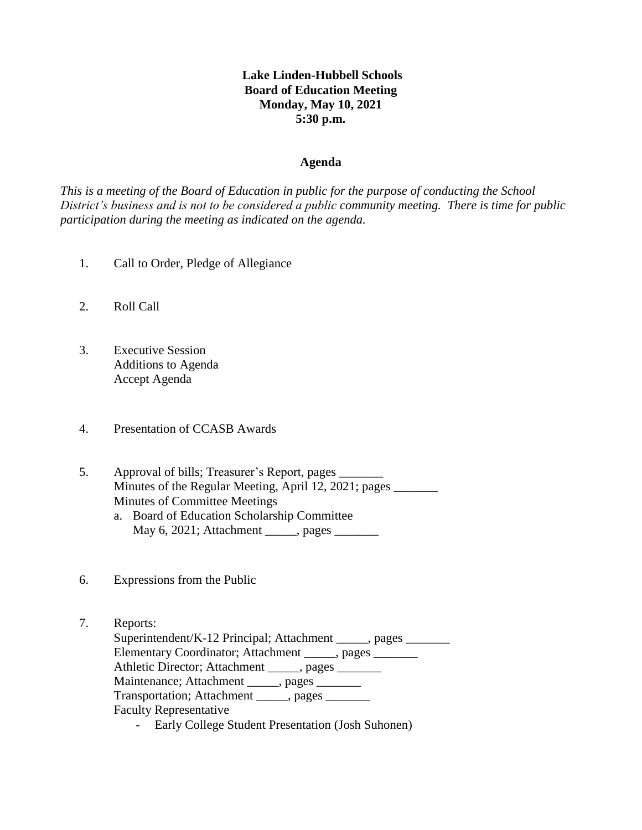## **Lake Linden-Hubbell Schools Board of Education Meeting Monday, May 10, 2021 5:30 p.m.**

#### **Agenda**

*This is a meeting of the Board of Education in public for the purpose of conducting the School District's business and is not to be considered a public community meeting. There is time for public participation during the meeting as indicated on the agenda.*

- 1. Call to Order, Pledge of Allegiance
- 2. Roll Call
- 3. Executive Session Additions to Agenda Accept Agenda
- 4. Presentation of CCASB Awards
- 5. Approval of bills; Treasurer's Report, pages \_\_\_\_\_\_\_ Minutes of the Regular Meeting, April 12, 2021; pages Minutes of Committee Meetings a. Board of Education Scholarship Committee
	- May 6, 2021; Attachment \_\_\_\_\_, pages \_\_\_\_\_\_\_
- 6. Expressions from the Public
- 7. Reports: Superintendent/K-12 Principal; Attachment \_\_\_\_\_, pages \_\_\_\_\_\_\_ Elementary Coordinator; Attachment \_\_\_\_\_, pages \_\_\_\_\_\_\_ Athletic Director; Attachment \_\_\_\_\_, pages \_\_\_\_\_\_ Maintenance; Attachment \_\_\_\_\_, pages \_\_\_\_\_\_\_ Transportation; Attachment \_\_\_\_\_, pages Faculty Representative
	- Early College Student Presentation (Josh Suhonen)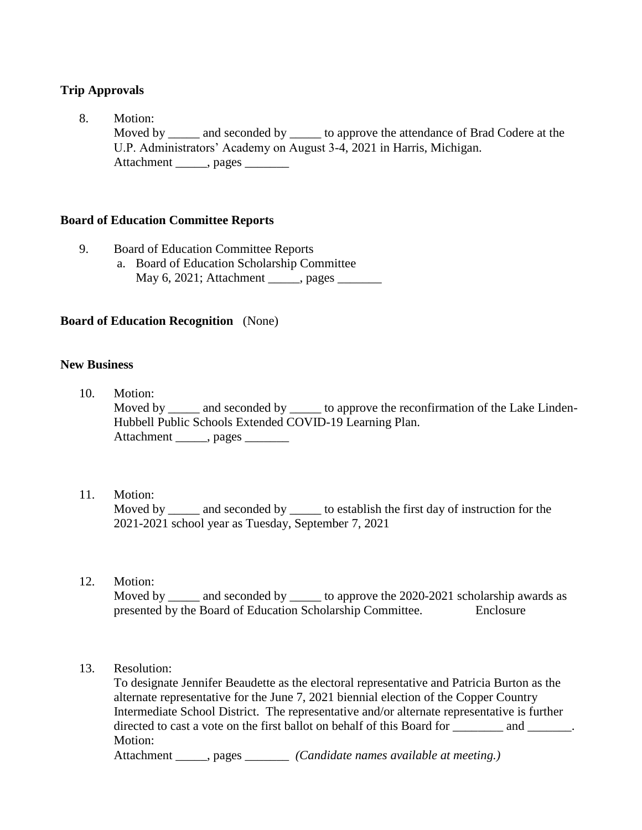# **Trip Approvals**

8. Motion: Moved by \_\_\_\_\_ and seconded by \_\_\_\_\_\_ to approve the attendance of Brad Codere at the U.P. Administrators' Academy on August 3-4, 2021 in Harris, Michigan. Attachment \_\_\_\_\_\_, pages

## **Board of Education Committee Reports**

- 9. Board of Education Committee Reports
	- a. Board of Education Scholarship Committee May 6, 2021; Attachment \_\_\_\_\_, pages \_\_\_\_\_\_\_

## **Board of Education Recognition** (None)

### **New Business**

- 10. Motion: Moved by \_\_\_\_\_ and seconded by \_\_\_\_\_ to approve the reconfirmation of the Lake Linden- Hubbell Public Schools Extended COVID-19 Learning Plan. Attachment \_\_\_\_\_, pages \_\_\_\_\_\_\_
- 11. Motion:

Moved by \_\_\_\_\_ and seconded by \_\_\_\_\_\_ to establish the first day of instruction for the 2021-2021 school year as Tuesday, September 7, 2021

12. Motion:

Moved by \_\_\_\_\_ and seconded by \_\_\_\_\_\_ to approve the 2020-2021 scholarship awards as presented by the Board of Education Scholarship Committee. Enclosure

13. Resolution:

 To designate Jennifer Beaudette as the electoral representative and Patricia Burton as the alternate representative for the June 7, 2021 biennial election of the Copper Country Intermediate School District. The representative and/or alternate representative is further directed to cast a vote on the first ballot on behalf of this Board for \_\_\_\_\_\_\_\_ and \_\_\_\_\_\_. Motion:

Attachment \_\_\_\_\_, pages \_\_\_\_\_\_\_ *(Candidate names available at meeting.)*